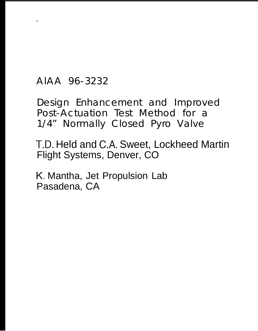AlAA 96-3232

.

Design Enhancement and Improved Post-Actuation Test Method for a 1/4" Normally Closed Pyro Valve

T.D. Held and C.A. Sweet, Lockheed Martin Flight Systems, Denver, CO

K, Mantha, Jet Propulsion Lab Pasadena, CA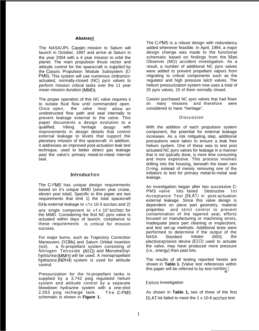### **———-— Abstract -——**

The NASA/JPL Cassini mission to Saturn will launch in October, 1997 and arrive at Saturn in the year 2004 with a 4 year mission to orbit the planet. The main propulsion thrust vector and attitude control for the spacecraft is supplied by the Cassini Propulsion Module Subsystem (C-PMS). This system will use numerous ordnanceactuated, normally-closed (NC) pyro valves to perform mission critical tasks over the 11 year mean mission duration (MMD).

The proper operation of this NC valve requires it to isolate fluid flow until commanded open. Once open, the valve must allow an unobstructed flow path and seal internally to prevent leakage external to the valve. This paper documents a design evolution to a qualified, Viking heritage design with improvements in design details that control external leakage to levels that support the planetary mission of this spacecraft. In addition, it addresses an improved post-actuation leak test technique, used to better detect gas leakage past the valve's primary metal-to-metal internal seal.

## Introduction

The C-PMS has unique design requirements based on it's unique MMD (seven year cruise, eleven year total). Specific to this paper are two requirements that limit 1) the total spacecraft GHe external leakage to  $<1x$  10-3 scc/sec and 2) any single component to  $<$ 1 x 10 $\degree$  scc/sec for the MMD. Considering the first NC pyro valve is actuated within days of launch, compliance to these requirements is critical for mission success.

For major burns, such as Trajectory Correction Maneuvers (TCMS) and Saturn Orbital Insertion (sol), a hi-propellant system consisting of Nitrogen Tetroxide (NTO) and Monomethylhydrazine (MMH) will be used. A monopropellant hydrazine (N2H4) system is used for attitude control.

Pressurization for the hi-propellant tanks is supplied by a 3,742 psig regulated helium system and attitude control by a separate blowdown hydrazine system with a one-shot 2,553 psig recharge tank. The C-PMS schematic is shown in **Figure 1.**

The C-PMS is a robust design with redundancy added whenever feasible. In April, 1994, a major design change was made to the functional schematic based on findings from the Mars Observer (MO) accident investigation. As a result, a number of additional NC pyro valves were added to prevent propellant vapors from migrating to critical components such as the regulator and high pressure latch valves. The helium pressurization system now uses a total of 25 pyro valves, 15 of them normally closed.

Cassini purchased NC pyro valves that had flown on many missions and therefore were considered to have "heritage".

#### Discussion

With the addition of each propulsion system component, the potential for external leakage increases. As a risk mitigating step, additional precautions were taken to ensure a leak free helium system. One of these was to test post actuated NC pyro valves for leakage in a manner that is not typically done, is more time consuming and more expensive. This process involves drilling into the housing, beneath the lower ram O-ring, instead of merely removing one of the initiators to test for primary metal-to-metal seal leakage.

An investigation began after two successive C-<br>PMS valve lots failed Destructive lot PMS valve lots failed Destructive lot Acceptance Test (DLAT) in post-actuation external leakage. Since this valve design is dependent on piece part geometry, material properties and strict control to prevent contamination of the tapered seat, efforts focused on manufacturing or machining errors, inadequate piece part cleaning or inspections, and test set-up methods. Additional tests were performed to determine if the output of the NASA Standard Initiator (NSI), the electroexplosive device (EED) used to actuate the valve, may have produced more pressure (i.e., energy) than past lots.

The results of all testing reported herein are shown in **Table 1.** [Valve test references within this paper will be referred to by test number.]

## Failure Investigation

As shown in **Table 1,** two of three of the first DLAT lot failed to meet the 1 x 10-6 scc/sec test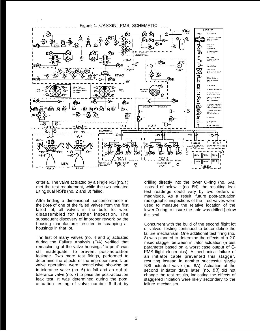

criteria. The valve actuated by a single NSI (no.1) met the test requirement, while the two actuated using dual NSI's (no. 2 and 3) failed.

After finding a dimensional nonconformance in the bore of one of the failed valves from the first failed lot, all valves in the build lot were disassembled for further inspection. The subsequent discovery of improper rework by the housing manufacturer resulted in scrapping all housings in that lot.

The first of many valves (no. 4 and 5) actuated during the Failure Analysis (F/A) verified that remachining of the valve housings "to print" was still inadequate to prevent post-actuation leakage. Two more test firings, performed to determine the effects of the improper rework on valve operation, were inconclusive showing an in-tolerance valve (no. 6) to fail and an out-oftolerance valve (no. 7) to pass the post-actuation leak test. It was determined during the postactuation testing of valve number 6 that by

drilling directly into the lower O-ring (no. 6A), instead of below it (no. 6B), the resulting leak test readings could vary by two orders of magnitude, As a result, future post-actuation radiographic inspections of the fired valves were used to measure the relative location of the lower O-ring to insure the hole was drilled below this seal.

Concurrent with the build of the second flight lot of valves, testing continued to better define the failure mechanism. One additional test firing (no. 8) was planned to determine the effects of a 2.0 msec stagger between initiator actuation (a test parameter based on a worst case output of C-PMS flight electronics). A mechanical failure of an initiator cable prevented this stagger, resulting instead in another successful single NSI actuated valve (no. 8A). Actuation of the second initiator days later (no. 8B) did not change the test results, indicating the effects of staggered initiation were likely secondary to the failure mechanism.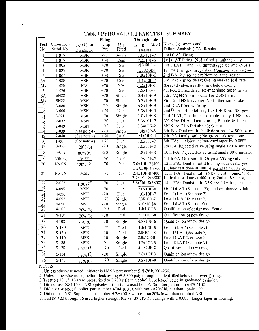|                 |             |                        | Firing      |             | Through-hole                   |                                                      |  |
|-----------------|-------------|------------------------|-------------|-------------|--------------------------------|------------------------------------------------------|--|
| Test            | Valve lot - | $NSI(1)$ Lot           | Temp        | Qty         | Leak Rate $(2, 3)$             | Notes, Comments and                                  |  |
| No.             | Serial No.  | Designator             | ("c)        | Fired       | (see/see)                      | Failure Analysis (F/A) Results                       |  |
| - 1             | $1 - 018$   | <b>MSK</b>             | $-20$       | Single      | $1.0x10E-7$                    | 1st DLAT Firing                                      |  |
| $\overline{c}$  | $1 - 017$   | MSK                    | $+$ 70 $\,$ | Dual        | 7.2x10E-6                      | 1st DLAT Firing; NSI's fired simultaneously          |  |
| $\mathbf{3}$    | $1 - 002$   | <b>MSK</b>             | $+70$       | Dual        | $>$ ] X101 L-4                 | 1st DLAT Firing; 2.0 msec stagger between NSI's      |  |
| $\overline{A}$  | $1 - 027$   | <b>MSK</b>             | $+70$       | Dual        | 1. JIX10E-7                    | 1st F/A Firing; 2 msec delay; Concave taper region   |  |
| 5               | $1 - 005$   | <b>MSK</b>             | $+70$       | Dual        | $5.0x10E-5$                    | 2nd F/A; 2 msec delay; Nominal taper region          |  |
| 6A              | $1 - 020$   | ${\bf MSK}$            | $+70$       | Dual        | $1.4 \times 10F - 7$           | 3rd F/A; 2 msec delay; O-ring masked leak rate       |  |
| 6B              | $1 - 020$   | N/A                    | $+70$       | N/A         | 3.2x10E-5                      | X-ray>d valve, redrilled hole below O-ring           |  |
| $\overline{1}$  | $1 - 026$   | ${\rm MSK}$            | $+70$       | Dual        | $1.6 \times 10E - 8$           | 4th F/A; 2 mscc delay; Rc-machined taper to print    |  |
| 8Λ              | <b>SN22</b> | ${\rm MSK}$            | $+70$       | Single      | $0.4x10E-9$                    | 5th F/A; tech error - only loi'2 NSI's fired         |  |
| 8B              | SN22        | ${\rm MSK}$            | $+70$       | Single      | $0.2x10E-9$                    | Fired 2nd NSI days later; No further ram stroke      |  |
| $\overline{9}$  | 3-080       | ${\rm MSK}$            | $-20$       | Single      | 6.8x10E-9                      | 2nd DLAT Series Firing                               |  |
| $\frac{1}{1}$ 0 | $3 - 060$   | ${\rm MSK}$            | $+\ 70$     | Dual        | 3.3x10E-1                      | 2nd DL AT; Bubble leak; 1.2x 10E-8 thru NSi port     |  |
| $\perp$         | 3-071       | <b>MSK</b>             | $+70$       | Single      | $1.0x10E-8$                    | 2nd DLAT; Dual init.; bad cable - oniy 1 NSIfired    |  |
| $\frac{1}{2}$   | 2-032       | <b>MSN</b>             | $+70$       | Dual        | $3.3x10E-3$                    | MGSPre-DLAT; Dual simult.; Bubble leak test          |  |
| 13              | 2-049       | <b>MSN</b>             | $+70$       | <b>Dual</b> | 9.3x1OK-2                      | MGSPre-DLAT; Bubble leak test                        |  |
| 14              | 2-039       | (See note 4)           | $-20$       | Single      | $7.4x10E-8$                    | 6th F/A; Dual simult.; Ballistic press.= 14,500 psig |  |
| 15              | 2-040       | (See note 4)           | $+70$       | <b>Dual</b> | $>1x10E-4$                     | 7th F/A; Dual simult.; No gross leak test done       |  |
| 16              | $1 - 003$   | (See note 4)           | $+$ 70 $\,$ | Dual        | 1.6x10E-7                      | 8th F/A; Dualsimult.; Increased taper by 0.085"      |  |
| 17              | 3-063       | $120\%$ (5)            | $-20$       | Single      | $1.0x10E-8$                    | 9th F/A; Rejected valve using single 120°A initiator |  |
| 18              | 3-059       | $80\%$ (6)             | $-20$       | Single      | 3.8x10E-8                      | 10th F/A; Rejected valve using single 80% initiator  |  |
| 19              | Viking      | M SK                   | $+70$       | Dual        | $1.2x10E-7$                    | 1 1th F/A; Dual simult.; Original Viking valve lot   |  |
| 20              | No SN       | $120\%$ <sup>(5)</sup> | $+70$       | Dual        | $\overline{5.6x}$ 101:-7 (400) | 12th F/A; Dualsimult.; Housing with 62Ksi yield      |  |
|                 |             |                        |             |             | $1.2X1_01-4(3800)$             | 1st leak test done at 400 psig, 2nd at 3,800 psig    |  |
| 21              | No SN       | MSK                    | $+70$       | Dual        | $2.4x101-8(400)$               | 13th F/A; Dualsimult.; 62Ksi yield + longer taper    |  |
|                 |             |                        |             |             | $3.2 \times 101 - 8(3800)$     | 1st leak test done at 400 psig, 2nd at 3,800 psig    |  |
| 22              | 2-052       | $120\%$ (5)            | $+70$       | Dual        | 5.6x10E-8(3800)                | 14th F/A; Dualsimult.; 35Ksiyield + longer taper     |  |
| $\overline{23}$ | 4-095       | <b>MSK</b>             | $+70$       | Dual        | $2.0x10E-8$                    | FinalDLAT (See note 7); Dual simultaneous init.      |  |
| 24              | 4-096       | <b>MSK</b>             | $-20$       | Dual        | $1.0x10E-7$                    | Final I) LAT (See note 7)                            |  |
| 25              | 4-092       | ${\rm MSK}$            | $+70$       | Single      | I.8X10I1-7                     | Final I) I. Al' (See note 7)                         |  |
| <u>26</u>       | 4-090       | <b>MSK</b>             | $-20$       | Single      | 5. OX101{-8                    | Final DLAT (See note 7)                              |  |
| 27              | $4 - 105$   | $120\%$ (5)            | $+70$       | Dual        | 1.4x1 OII-8                    | Qualification of design modification                 |  |
| 28              | $4 - 104$   | $120\%$ (5)            | $-20$       | Dual        | 2. OX10I1-8                    | Qualification of new design                          |  |
| $\overline{29}$ | $4 - 103$   | $80\%$ (6)             | $-20$       | Single      | $4.8x10E-8$                    | Qualification ofnew design                           |  |
| $\bar{30}$      | 5-139       | <b>MSK</b>             | $+70$       | Dual        | 1.4x1 OI1-8                    | Final I) I, Al' (See note 7)                         |  |
| 31              | $5 - 130$   | <b>MSK</b>             | $-20$       | <b>Dual</b> | $2.6x101$ i-8                  | FinalDLAT (See note 7)                               |  |
| 32              | $5 - 116$   | MSK                    | $-20$       | Single      | 2.8x1OE-8                      | Final DLAT (See note 7)                              |  |
| 33              | $5 - 138$   | <b>MSK</b>             | $+70$       | Single      | 1.2x 10E-8                     | Final DLAT (See note 7)                              |  |
| 34              | $5 - 125$   | $\frac{120\%}{5}$ (5)  | $+70$       | Dual        | $5.0x10E-8$                    | Qualification of new design                          |  |
| $3s$            | $5 - 134$   | $\frac{120\%}{5}$ (5)  | $-20$       | Single      | 2.8x1OB8                       | Qualification ofnew design                           |  |
| 36              | $5 - 140$   | $80\%$ (6)             | $+70$       | Single      | $3.2x10E-8$                    | Qualification of ncw design                          |  |

# Table 1 PYRO VAL VE LEAK TEST SUMMARY

### NOTES:

1. Unless otherwise noted, initiator is NASA part number SEB2610001-256.

1. Unless otherwise noted, initiator is NASA part number SEB2010001-256.<br>
2. Unless otherwise noted, helium leak testing @ 3,800 psig through a hole drilled below the lower [)-ring, 3. Test no.s 10, 15, 16 were pressurize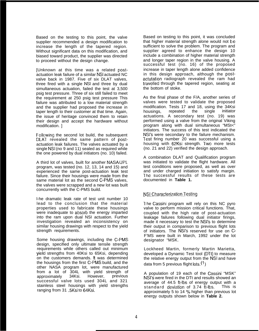Based on the testing to this point, the valve supplier recommended a design modification to increase the length of the tapered region. Without significant data on this modification, and biased toward product, the supplier was directed to proceed without the design change.

[Unknown at this time was a related postactuation leak failure of a similar NSI actuated NC valve back in 1987. Five of six DLAT valves, three fired with a single NSI and three by dual simultaneous actuation, failed the test at 3,500 psig test pressure. Three of six still failed to meet the requirement at 250 psig test pressure This failure was attributed to a low material strength and the supplier had proposed the increase in taper length to their customer at that time. Again, the issue of heritage convinced them to retain their design and accept the hardware without modification. ]

Following the second lot build, the subsequent DLAT revealed the same pattern of postactuation leak failures. The valves actuated by a single NSI (no 9 and 11) sealed as required while the one powered by dual initiators (no. 10) failed.

A third lot of valves, built for another NASA/JPL. program, was tested (no. 12, 13, 14 and 15) and experienced the same post-actuation leak test failure. Since their housings were made from the same material lot as the second C-PMS valves, the valves were scrapped and a new lot was built concurrently with the C-PMS build.

l-he dramatic leak rate of test unit number 10 lead to the conclusion that the material properties used to fabricate these housings were inadequate to absorb the energy imparted into the ram upon dual NSI actuation. Further investigation revealed an inconsistency on similar housing drawings with respect to the yield strength requirements.

Some housing drawings, including the C-PMS design, specified only ultimate tensile strength requirements while others called out minimum yield strengths from 40Ksi to 65Ksi, depending on the customers demands. It was determined the housings from the first C-PMS build, and the other NASA program lot, were manufactured from a lot of 304L with yield strength of approximately 34Ksi. However, previous approximately successful valve lots used 304L and 321 stainless steel housings with yield strengths ranging from 31 .5Ksi to 64Ksi.

Based on testing to this point, it was concluded that higher material strength alone would not be sufficient to solve the problem. The program and supplier agreed to enhance the design 10 include a combination of higher material strength and longer taper region in the valve housing. A successful test (no. 16) of the proposed increase in taper length alone added confidence in this design approach, although the postactutation radiograph revealed the ram had travelled through the tapered region, seating at the bottom of stoke.

As the final phase of the F/A, another series of valves were tested to validate the proposed modification. Tests 17 and 18, using the 34Ksi housings, repeated the single initiator actuations. A secondary test (no. 19) was performed using a valve from the original Viking program along with dual simultaneous "MSt<" initiators. The success of this test indicated the NSI'S were secondary to the failure mechanism. Test firing number 20 was successful using a housing with 62Ksi strength. Two more tests (no. 21 and 22) verified the design approach.

A combination DLAT and Qualification program was initiated to validate the flight hardware. All test conditions were proposed, as well as over and under charged initiation to satisfy margin. The successful results of these tests are documented in **Table 1.**

## NSI Characterization Testing

1 he Cassini program will rely on this NC pyro valve to perform mission critical functions. That, coupled with the high rate of post-actuation leakage failures following dual initiator firings, made it necessary to test the NSI'S to determine their output in comparison to previous flight lots of initiators. The NSI'S reserved for use on C-F'MS were built in March, 1992 under the lot designator "MSK.

Lockheed Martin, formerly Martin Marietta, developed a Dynamic Test tool (DTt) to measure the relative energy output from the NSI and have data from 5 previous flight lots.<sup>(1</sup>)

A population of 19 each of the Cassini "MSK" NSI'S were fired in the DTt and results showed an average of 44.5 ft-lbs of energy output with a standard deviation of 3.74 ft-lbs. This is approximately 5 to 14 % higher than previous lot energy outputs shown below in **Table 2.**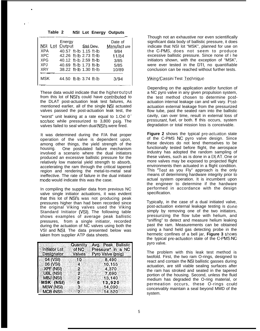| Table 2                 |                                                  |  | <b>NSI Lot Energy Outputs</b> |
|-------------------------|--------------------------------------------------|--|-------------------------------|
| NSI Lot Output Std Dev. | Energy                                           |  | Date of<br>Manufact ure       |
| <b>XPA</b>              | 40.57 ft-lb 1.15 ft-lb                           |  | 9/84                          |
| XPC<br><b>XPG</b>       | 42.26 ft-lb 2.73 ft-lb<br>40.12 ft-lb 2.59 ft-lb |  | 11/84<br>3/85                 |
| XPJ<br><b>XRY</b>       | 40.69 ft-lb 1.73 ft-lb<br>38.22 ft-lb 1.30 ft-lb |  | 5/85<br>10/89                 |
| <b>MSK</b>              | 44.50 ft-lb 3.74 ft-lb                           |  | 3/94                          |

.

6'

These data would indicate that the higher output from this lot of NSI's could have contributed to the DLAT post-actuation leak test failures, As mentioned earlier, all of the single NSI actuated valves passed the post-actuation leak test, the "worst" unit leaking at a rate equal to 1.Oxl  $0^7$ scc/sec while pressurized to 3,800 psig. The valves failed to seal when dual NSI'S were fired.

It was determined during the F/A that proper operation of the valve is dependent upon, among other things, the yield strength of the housing. One postulated failure mechanism involved a scenario where the dual initiators produced an excessive ballistic pressure for the relatively low material yield strength to absorb, accelerating the ram through the critical tapered region and rendering the metal-to-metal seal ineffective. The rate of failure in the dual initiator mode would indicate this was the case.

In compiling the supplier data from previous NC valve single initiator actuations, it was evident that this lot of NSI'S was not producing peak pressures higher than had been recorded since the original Viking valves used the Viking Standard Initiator (VSI). The following table shows examples of average peak ballistic pressures, from a single initiator, recorded during the actuation of NC valves using both the VSI and NSI. The data presented below was taken from supplier ATP data sheets.

|                      | Quantity | Avg. Peak Ballistic |
|----------------------|----------|---------------------|
| <b>Initiator Lot</b> | of NC    | Pressure* in a NC   |
| Designator           | Valves   | Pyro Valve (psig)   |
| 04 (VSI)             | 10       | 8,490               |
| 06 (VSI)             | 4        | 10,155              |
| <b>XPF (NSI)</b>     | 2        | 4,370               |
| UBL (NSI)            | 2.       | 7,690               |
| MBJ (NSI)            | 2        | 13,140              |
| MSK (NSI)            | 6        | 13,920              |
| MBW (NSI)            | ్వ       | 14,090              |
| MCB (NSI)            |          | 14.520              |

Though not an exhaustive nor even scientifically significant data body of ballistic pressure, it does indicate that NSI lot "MSK", planned for use on the C-PMS, does not seem to produce excessive ballistic pressure. Since none of i he initiators shown, with the exception of "MSK", were ever tested in the DTt, no quantifiable conclusion can be reached without further tests.

### Viking/Cassini Test Technique

Depending on the application and/or function of a NC pyro valve in any given propulsion system, the test method chosen to determine postactuation internal leakage can and will vary. Postactuation external leakage from the pressurized flow tube, past the seated ram into the ballistic cavity, can over time, result in external loss of pressurant, fuel, or both. If this occurs, system degradation or total mission loss is conceivable.

**Figure 2** shows the typical pre-actuation state of the C-PMS NC pyro valve design. Since these devices do not lend themselves to be functionally tested before flight, the aerospace industry has adopted the random sampling of these valves, such as is done in a DL.AT. One or more valves may be exposed to projected flight environments then actuated in a flight condition. This 'Test as you Fly" approach is the only means of determining hardware integrity prior to actual system operation. It is incumbent upon the engineer to determine if the hardware performed in accordance with the design specification.

Typically, in the case of a dual initiated valve, post-actuation external leakage testing is done simply by removing one of the two initiators, pressurizing the flow tube with helium, and "sniffing" to detect and measure helium leaking past the ram. Measurements can be obtained using a hand held gas detecting probe in the hermetic confines of a bell jar, Figure 3 shows the typical pre-actuation state of the C-PMS NC pyro valve.

The problem with this leak test method is twofold. First, the two ram O-rings, designed to react and contain the NSI ballistic gasses during actuation, are still viable sealing surfaces after the ram has stroked and seated in the tapered portion of the housing. Second, unless the fluid medium has degraded the O-ring material, or permeation occurs, these O-rings could conceivably maintain a seal beyond MMD of the system.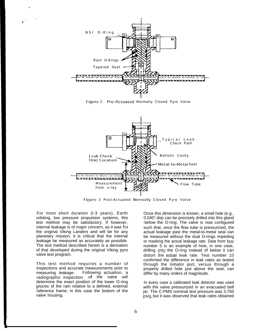

Figure 2 Pre-Actuated Normally Closed Pyro Valve



Figure 3 Post-Actuated Normally Closed Pyro Valve

For most short duration (l-3 years), Earth orbiting, low pressure propulsion systems, this test method may be satisfactory. If however, internal leakage is of major concern, as it was for the original Viking Landers and will be for any planetary mission, it is critical that the internal leakage be measured as accurately as possible. The test method described herein is a derivation of that developed during the original Viking pyro valve test program.

This test method requires a number of inspections and accurate measurements prior to measuring leakage. Following actuation, a radiographic inspection of the valve will determine the exact position of the lower O-ring groove of the ram relative to a defined, external reference frame; in this case the bottom of the valve housing.

Once this dimension is known, a small hole (e.g., 0.040" dia) can be precisely drilled into this gland -below the O-ring. The valve is now configured such that, once the flow tube is pressurized, the actual leakage past the metal-to-metal seal can be measured without the dual O-rings impeding or masking the actual leakage rate. Data from tesi number 5 is an example of how, in one case, drilling into the O-ring instead of below it can distort the actual leak rate. Test number 10 confirmed the difference in leak rates as tested through the initiator port, versus through a properly drilled hole just above the seal, can differ by many orders of magnitude.

In every case a calibrated leak detector was used with the valve pressurized in an evacuated bell jar. The C-PMS nominal test pressure was 3,750 psiy, but it was observed that leak rates obtained